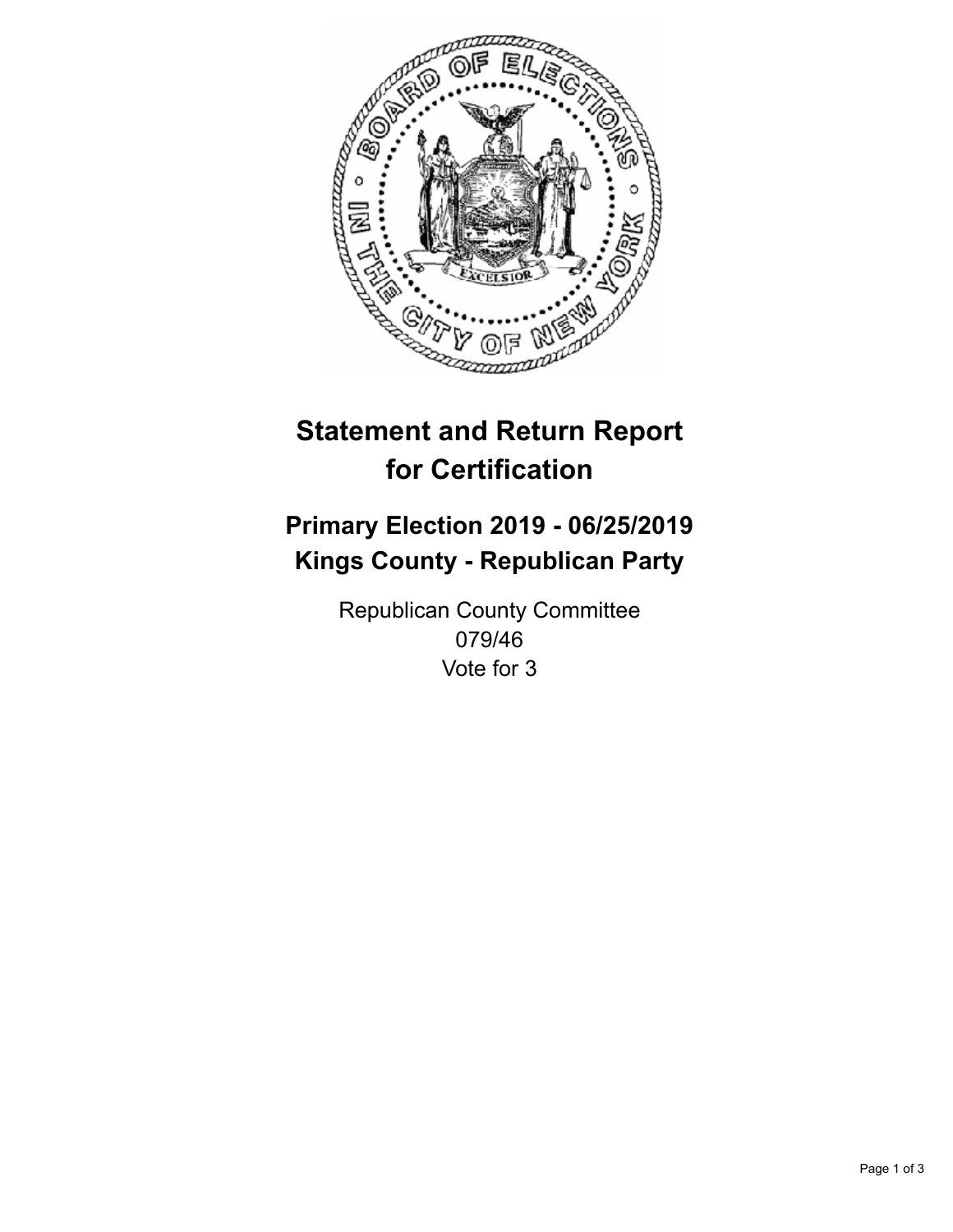

## **Statement and Return Report for Certification**

## **Primary Election 2019 - 06/25/2019 Kings County - Republican Party**

Republican County Committee 079/46 Vote for 3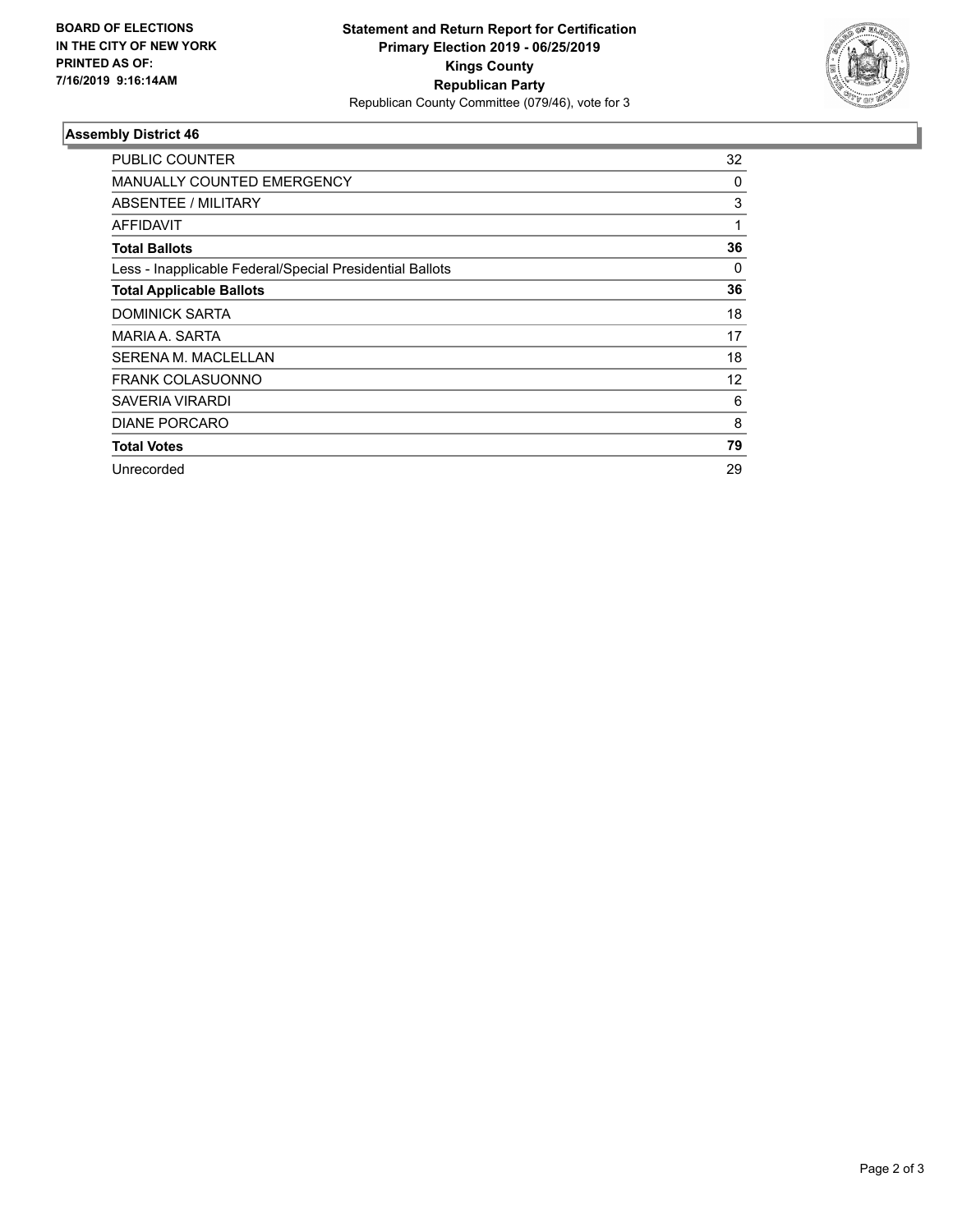

## **Assembly District 46**

| PUBLIC COUNTER                                           | 32 |
|----------------------------------------------------------|----|
| <b>MANUALLY COUNTED EMERGENCY</b>                        | 0  |
| ABSENTEE / MILITARY                                      | 3  |
| AFFIDAVIT                                                | 1  |
| <b>Total Ballots</b>                                     | 36 |
| Less - Inapplicable Federal/Special Presidential Ballots | 0  |
| <b>Total Applicable Ballots</b>                          | 36 |
| <b>DOMINICK SARTA</b>                                    | 18 |
| MARIA A. SARTA                                           | 17 |
| <b>SERENA M. MACLELLAN</b>                               | 18 |
| <b>FRANK COLASUONNO</b>                                  | 12 |
| SAVERIA VIRARDI                                          | 6  |
| <b>DIANE PORCARO</b>                                     | 8  |
| <b>Total Votes</b>                                       | 79 |
| Unrecorded                                               | 29 |